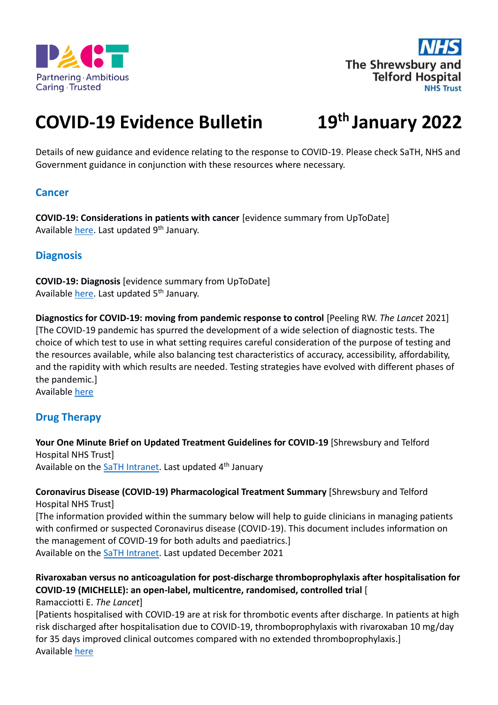



# **COVID-19 Evidence Bulletin 19th January 2022**

Details of new guidance and evidence relating to the response to COVID-19. Please check SaTH, NHS and Government guidance in conjunction with these resources where necessary.

# **Cancer**

**COVID-19: Considerations in patients with cancer** [evidence summary from UpToDate] Available [here.](https://www.uptodate.com/contents/covid-19-considerations-in-patients-with-cancer) Last updated 9<sup>th</sup> January.

# **Diagnosis**

**COVID-19: Diagnosis** [evidence summary from UpToDate] Available [here.](https://www.uptodate.com/contents/covid-19-diagnosis) Last updated 5<sup>th</sup> January.

**Diagnostics for COVID-19: moving from pandemic response to control** [Peeling RW. *The Lancet* 2021] [The COVID-19 pandemic has spurred the development of a wide selection of diagnostic tests. The choice of which test to use in what setting requires careful consideration of the purpose of testing and the resources available, while also balancing test characteristics of accuracy, accessibility, affordability, and the rapidity with which results are needed. Testing strategies have evolved with different phases of the pandemic.]

Available [here](https://www.thelancet.com/journals/lancet/article/PIIS0140-6736(21)02346-1/fulltext)

# **Drug Therapy**

**Your One Minute Brief on Updated Treatment Guidelines for COVID-19** [Shrewsbury and Telford Hospital NHS Trust]

Available on th[e SaTH Intranet.](https://intranet.sath.nhs.uk/Library_Intranet/documents/news/1mb/2021/211231-Update%20on%20Treatment%20guidelines%20for%20COVID-19.pdf) Last updated 4<sup>th</sup> January

#### **Coronavirus Disease (COVID-19) Pharmacological Treatment Summary** [Shrewsbury and Telford Hospital NHS Trust]

[The information provided within the summary below will help to guide clinicians in managing patients with confirmed or suspected Coronavirus disease (COVID-19). This document includes information on the management of COVID-19 for both adults and paediatrics.]

Available on th[e SaTH Intranet.](https://intranet.sath.nhs.uk/document_library/ViewPDFDocument.asp?DocumentID=12842) Last updated December 2021

# **Rivaroxaban versus no anticoagulation for post-discharge thromboprophylaxis after hospitalisation for COVID-19 (MICHELLE): an open-label, multicentre, randomised, controlled trial** [

Ramacciotti E. *The Lancet*]

[Patients hospitalised with COVID-19 are at risk for thrombotic events after discharge. In patients at high risk discharged after hospitalisation due to COVID-19, thromboprophylaxis with rivaroxaban 10 mg/day for 35 days improved clinical outcomes compared with no extended thromboprophylaxis.] Available [here](https://www.thelancet.com/journals/lancet/article/PIIS0140-6736(21)02392-8/fulltext)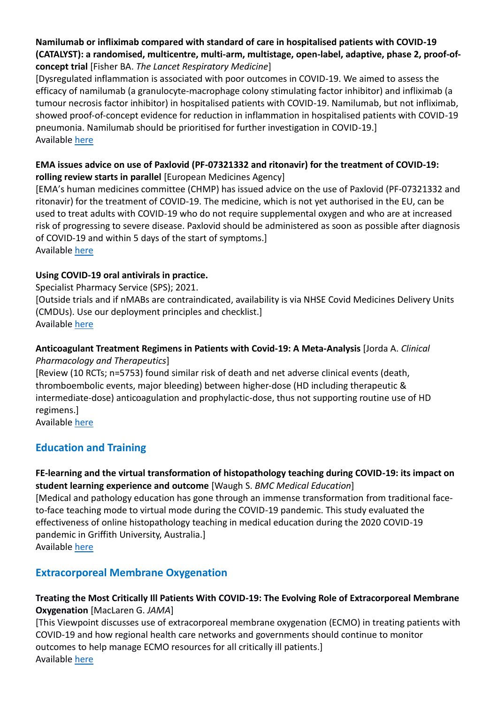# **Namilumab or infliximab compared with standard of care in hospitalised patients with COVID-19 (CATALYST): a randomised, multicentre, multi-arm, multistage, open-label, adaptive, phase 2, proof-ofconcept trial** [Fisher BA. *The Lancet Respiratory Medicine*]

[Dysregulated inflammation is associated with poor outcomes in COVID-19. We aimed to assess the efficacy of namilumab (a granulocyte-macrophage colony stimulating factor inhibitor) and infliximab (a tumour necrosis factor inhibitor) in hospitalised patients with COVID-19. Namilumab, but not infliximab, showed proof-of-concept evidence for reduction in inflammation in hospitalised patients with COVID-19 pneumonia. Namilumab should be prioritised for further investigation in COVID-19.] Available [here](https://www.thelancet.com/journals/lanres/article/PIIS2213-2600(21)00460-4/fulltext)

#### **EMA issues advice on use of Paxlovid (PF-07321332 and ritonavir) for the treatment of COVID-19: rolling review starts in parallel** [European Medicines Agency]

[EMA's human medicines committee (CHMP) has issued advice on the use of Paxlovid (PF-07321332 and ritonavir) for the treatment of COVID-19. The medicine, which is not yet authorised in the EU, can be used to treat adults with COVID-19 who do not require supplemental oxygen and who are at increased risk of progressing to severe disease. Paxlovid should be administered as soon as possible after diagnosis of COVID-19 and within 5 days of the start of symptoms.] Available [here](https://www.ema.europa.eu/en/news/ema-issues-advice-use-paxlovid-pf-07321332-ritonavir-treatment-covid-19-rolling-review-starts)

# **Using COVID-19 oral antivirals in practice.**

Specialist Pharmacy Service (SPS); 2021.

[Outside trials and if nMABs are contraindicated, availability is via NHSE Covid Medicines Delivery Units (CMDUs). Use our deployment principles and checklist.] Available [here](https://www.sps.nhs.uk/articles/using-covid-19-oral-antivirals-in-practice/)

# **Anticoagulant Treatment Regimens in Patients with Covid-19: A Meta-Analysis** [Jorda A. *Clinical Pharmacology and Therapeutics*]

[Review (10 RCTs; n=5753) found similar risk of death and net adverse clinical events (death, thromboembolic events, major bleeding) between higher-dose (HD including therapeutic & intermediate-dose) anticoagulation and prophylactic-dose, thus not supporting routine use of HD regimens.]

Available [here](https://ascpt.onlinelibrary.wiley.com/doi/10.1002/cpt.2504)

# **Education and Training**

# **FE-learning and the virtual transformation of histopathology teaching during COVID-19: its impact on student learning experience and outcome** [Waugh S. *BMC Medical Education*]

[Medical and pathology education has gone through an immense transformation from traditional faceto-face teaching mode to virtual mode during the COVID-19 pandemic. This study evaluated the effectiveness of online histopathology teaching in medical education during the 2020 COVID-19 pandemic in Griffith University, Australia.] Available [here](https://bmcmededuc.biomedcentral.com/articles/10.1186/s12909-021-03066-z)

# **Extracorporeal Membrane Oxygenation**

# **Treating the Most Critically Ill Patients With COVID-19: The Evolving Role of Extracorporeal Membrane Oxygenation** [MacLaren G. *JAMA*]

[This Viewpoint discusses use of extracorporeal membrane oxygenation (ECMO) in treating patients with COVID-19 and how regional health care networks and governments should continue to monitor outcomes to help manage ECMO resources for all critically ill patients.] Available [here](https://jamanetwork.com/journals/jama/fullarticle/2787451)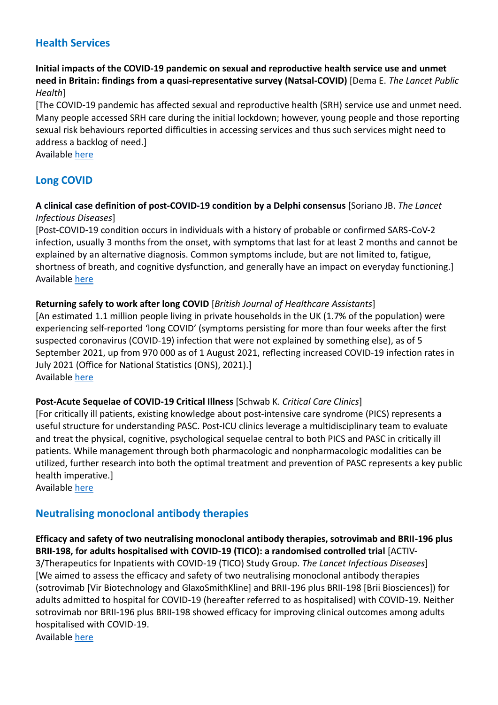# **Health Services**

# **Initial impacts of the COVID-19 pandemic on sexual and reproductive health service use and unmet need in Britain: findings from a quasi-representative survey (Natsal-COVID)** [Dema E. *The Lancet Public Health*]

[The COVID-19 pandemic has affected sexual and reproductive health (SRH) service use and unmet need. Many people accessed SRH care during the initial lockdown; however, young people and those reporting sexual risk behaviours reported difficulties in accessing services and thus such services might need to address a backlog of need.]

Available [here](https://www.thelancet.com/journals/lanpub/article/PIIS2468-2667(21)00253-X/fulltext)

# **Long COVID**

#### **A clinical case definition of post-COVID-19 condition by a Delphi consensus** [Soriano JB. *The Lancet Infectious Diseases*]

[Post-COVID-19 condition occurs in individuals with a history of probable or confirmed SARS-CoV-2 infection, usually 3 months from the onset, with symptoms that last for at least 2 months and cannot be explained by an alternative diagnosis. Common symptoms include, but are not limited to, fatigue, shortness of breath, and cognitive dysfunction, and generally have an impact on everyday functioning.] Available [here](https://www.thelancet.com/journals/laninf/article/PIIS1473-3099(21)00703-9/fulltext)

# **Returning safely to work after long COVID** [*British Journal of Healthcare Assistants*]

[An estimated 1.1 million people living in private households in the UK (1.7% of the population) were experiencing self-reported 'long COVID' (symptoms persisting for more than four weeks after the first suspected coronavirus (COVID-19) infection that were not explained by something else), as of 5 September 2021, up from 970 000 as of 1 August 2021, reflecting increased COVID-19 infection rates in July 2021 (Office for National Statistics (ONS), 2021).] Available [here](https://libkey.io/libraries/2727/articles/513779277/content-location)

#### **Post-Acute Sequelae of COVID-19 Critical Illness** [Schwab K. *Critical Care Clinics*]

[For critically ill patients, existing knowledge about post-intensive care syndrome (PICS) represents a useful structure for understanding PASC. Post-ICU clinics leverage a multidisciplinary team to evaluate and treat the physical, cognitive, psychological sequelae central to both PICS and PASC in critically ill patients. While management through both pharmacologic and nonpharmacologic modalities can be utilized, further research into both the optimal treatment and prevention of PASC represents a key public health imperative.]

Available [here](https://europepmc.org/article/pmc/pmc8743493)

# **Neutralising monoclonal antibody therapies**

**Efficacy and safety of two neutralising monoclonal antibody therapies, sotrovimab and BRII-196 plus BRII-198, for adults hospitalised with COVID-19 (TICO): a randomised controlled trial** [ACTIV-3/Therapeutics for Inpatients with COVID-19 (TICO) Study Group. *The Lancet Infectious Diseases*] [We aimed to assess the efficacy and safety of two neutralising monoclonal antibody therapies (sotrovimab [Vir Biotechnology and GlaxoSmithKline] and BRII-196 plus BRII-198 [Brii Biosciences]) for adults admitted to hospital for COVID-19 (hereafter referred to as hospitalised) with COVID-19. Neither sotrovimab nor BRII-196 plus BRII-198 showed efficacy for improving clinical outcomes among adults hospitalised with COVID-19.

Available [here](https://www.thelancet.com/journals/laninf/article/PIIS1473-3099(21)00751-9/fulltext)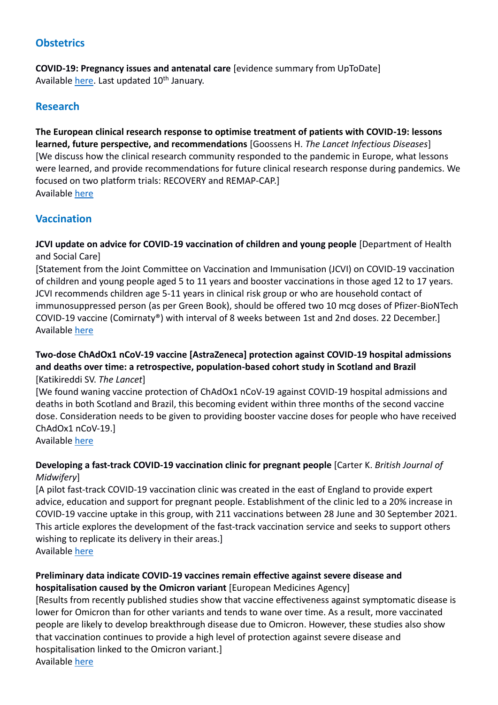# **Obstetrics**

**COVID-19: Pregnancy issues and antenatal care** [evidence summary from UpToDate] Available [here.](https://www.uptodate.com/contents/covid-19-pregnancy-issues-and-antenatal-care) Last updated 10<sup>th</sup> January.

# **Research**

**The European clinical research response to optimise treatment of patients with COVID-19: lessons learned, future perspective, and recommendations** [Goossens H. *The Lancet Infectious Diseases*] [We discuss how the clinical research community responded to the pandemic in Europe, what lessons were learned, and provide recommendations for future clinical research response during pandemics. We focused on two platform trials: RECOVERY and REMAP-CAP.] Available [here](https://www.thelancet.com/journals/laninf/article/PIIS1473-3099(21)00705-2/fulltext)

# **Vaccination**

**JCVI update on advice for COVID-19 vaccination of children and young people** [Department of Health and Social Care]

[Statement from the Joint Committee on Vaccination and Immunisation (JCVI) on COVID-19 vaccination of children and young people aged 5 to 11 years and booster vaccinations in those aged 12 to 17 years. JCVI recommends children age 5-11 years in clinical risk group or who are household contact of immunosuppressed person (as per Green Book), should be offered two 10 mcg doses of Pfizer-BioNTech COVID-19 vaccine (Comirnaty®) with interval of 8 weeks between 1st and 2nd doses. 22 December.] Available [here](https://www.gov.uk/government/publications/jcvi-update-on-advice-for-covid-19-vaccination-of-children-and-young-people)

#### **Two-dose ChAdOx1 nCoV-19 vaccine [AstraZeneca] protection against COVID-19 hospital admissions and deaths over time: a retrospective, population-based cohort study in Scotland and Brazil**  [Katikireddi SV. *The Lancet*]

[We found waning vaccine protection of ChAdOx1 nCoV-19 against COVID-19 hospital admissions and deaths in both Scotland and Brazil, this becoming evident within three months of the second vaccine dose. Consideration needs to be given to providing booster vaccine doses for people who have received ChAdOx1 nCoV-19.] Available [here](https://www.thelancet.com/journals/lancet/article/PIIS0140-6736(21)02754-9/fulltext)

# **Developing a fast-track COVID-19 vaccination clinic for pregnant people** [Carter K. *British Journal of Midwifery*]

[A pilot fast-track COVID-19 vaccination clinic was created in the east of England to provide expert advice, education and support for pregnant people. Establishment of the clinic led to a 20% increase in COVID-19 vaccine uptake in this group, with 211 vaccinations between 28 June and 30 September 2021. This article explores the development of the fast-track vaccination service and seeks to support others wishing to replicate its delivery in their areas.] Available [here](https://search.ebscohost.com/login.aspx?direct=true&db=rzh&AN=154359449&authtype=athens&site=ehost-live&custid=ns221502)

#### **Preliminary data indicate COVID-19 vaccines remain effective against severe disease and hospitalisation caused by the Omicron variant** [European Medicines Agency]

[Results from recently published studies show that vaccine effectiveness against symptomatic disease is lower for Omicron than for other variants and tends to wane over time. As a result, more vaccinated people are likely to develop breakthrough disease due to Omicron. However, these studies also show that vaccination continues to provide a high level of protection against severe disease and hospitalisation linked to the Omicron variant.] Available [here](https://www.ema.europa.eu/en/news/preliminary-data-indicate-covid-19-vaccines-remain-effective-against-severe-disease-hospitalisation)